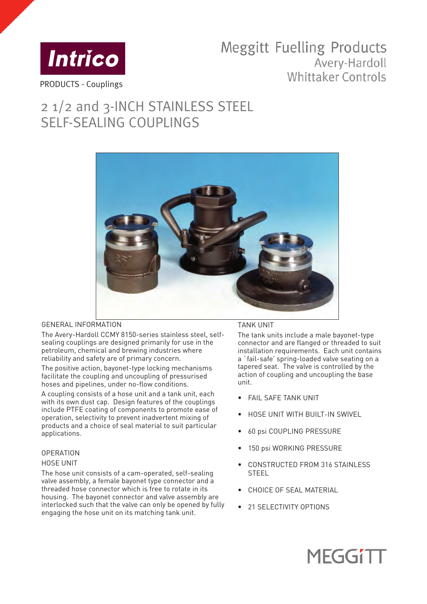

## **Meggitt Fuelling Products** Avery-Hardoll **Whittaker Controls**

# 2 1/2 and 3-INCH STAINLESS STEEL SELF-SEALING COUPLINGS



### GENERAL INFORMATION

The Avery-Hardoll CCMY 8150-series stainless steel, selfsealing couplings are designed primarily for use in the petroleum, chemical and brewing industries where reliability and safety are of primary concern.

The positive action, bayonet-type locking mechanisms facilitate the coupling and uncoupling of pressurised hoses and pipelines, under no-flow conditions.

A coupling consists of a hose unit and a tank unit, each with its own dust cap. Design features of the couplings include PTFE coating of components to promote ease of operation, selectivity to prevent inadvertent mixing of products and a choice of seal material to suit particular applications.

#### **OPERATION**

#### HOSE UNIT

The hose unit consists of a cam-operated, self-sealing valve assembly, a female bayonet type connector and a threaded hose connector which is free to rotate in its housing. The bayonet connector and valve assembly are interlocked such that the valve can only be opened by fully engaging the hose unit on its matching tank unit.

#### TANK UNIT

The tank units include a male bayonet-type connector and are flanged or threaded to suit installation requirements. Each unit contains a `fail-safe' spring-loaded valve seating on a tapered seat. The valve is controlled by the action of coupling and uncoupling the base unit.

- FAIL SAFE TANK UNIT
- HOSE UNIT WITH BUILT-IN SWIVEL
- 60 psi COUPLING PRESSURE
- 150 psi WORKING PRESSURE
- CONSTRUCTED FROM 316 STAINLESS STEEL
- CHOICE OF SEAL MATERIAL
- 21 SELECTIVITY OPTIONS